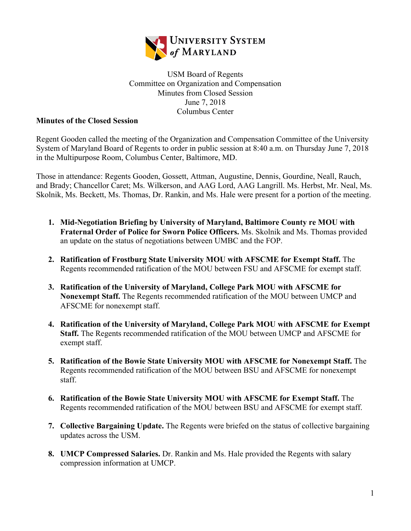

## USM Board of Regents Committee on Organization and Compensation Minutes from Closed Session June 7, 2018 Columbus Center

## **Minutes of the Closed Session**

Regent Gooden called the meeting of the Organization and Compensation Committee of the University System of Maryland Board of Regents to order in public session at 8:40 a.m. on Thursday June 7, 2018 in the Multipurpose Room, Columbus Center, Baltimore, MD.

Those in attendance: Regents Gooden, Gossett, Attman, Augustine, Dennis, Gourdine, Neall, Rauch, and Brady; Chancellor Caret; Ms. Wilkerson, and AAG Lord, AAG Langrill. Ms. Herbst, Mr. Neal, Ms. Skolnik, Ms. Beckett, Ms. Thomas, Dr. Rankin, and Ms. Hale were present for a portion of the meeting.

- **1. Mid-Negotiation Briefing by University of Maryland, Baltimore County re MOU with Fraternal Order of Police for Sworn Police Officers.** Ms. Skolnik and Ms. Thomas provided an update on the status of negotiations between UMBC and the FOP.
- **2. Ratification of Frostburg State University MOU with AFSCME for Exempt Staff.** The Regents recommended ratification of the MOU between FSU and AFSCME for exempt staff.
- **3. Ratification of the University of Maryland, College Park MOU with AFSCME for Nonexempt Staff.** The Regents recommended ratification of the MOU between UMCP and AFSCME for nonexempt staff.
- **4. Ratification of the University of Maryland, College Park MOU with AFSCME for Exempt Staff.** The Regents recommended ratification of the MOU between UMCP and AFSCME for exempt staff.
- **5. Ratification of the Bowie State University MOU with AFSCME for Nonexempt Staff.** The Regents recommended ratification of the MOU between BSU and AFSCME for nonexempt staff.
- **6. Ratification of the Bowie State University MOU with AFSCME for Exempt Staff.** The Regents recommended ratification of the MOU between BSU and AFSCME for exempt staff.
- **7. Collective Bargaining Update.** The Regents were briefed on the status of collective bargaining updates across the USM.
- **8. UMCP Compressed Salaries.** Dr. Rankin and Ms. Hale provided the Regents with salary compression information at UMCP.